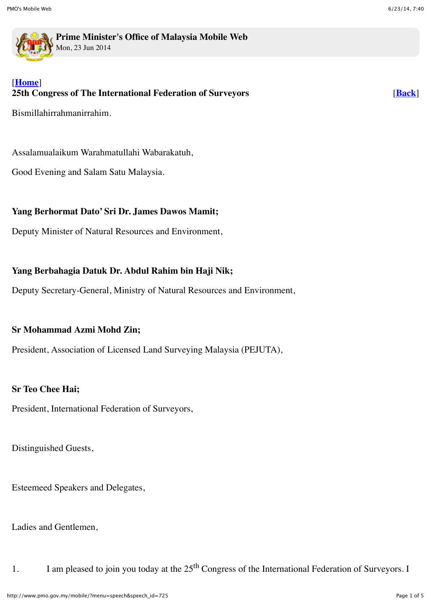

**Prime Minister's Office of Malaysia Mobile Web** Mon, 23 Jun 2014

# [**[Home](http://www.pmo.gov.my/mobile/?)**] **25th Congress of The International Federation of Surveyors**

Bismillahirrahmanirrahim.

Assalamualaikum Warahmatullahi Wabarakatuh,

Good Evening and Salam Satu Malaysia.

# **Yang Berhormat Dato' Sri Dr. James Dawos Mamit;**

Deputy Minister of Natural Resources and Environment,

# **Yang Berbahagia Datuk Dr. Abdul Rahim bin Haji Nik;**

Deputy Secretary-General, Ministry of Natural Resources and Environment,

### **Sr Mohammad Azmi Mohd Zin;**

President, Association of Licensed Land Surveying Malaysia (PEJUTA),

### **Sr Teo Chee Hai;**

President, International Federation of Surveyors,

Distinguished Guests,

Esteemeed Speakers and Delegates,

Ladies and Gentlemen,

1. I am pleased to join you today at the 25<sup>th</sup> Congress of the International Federation of Surveyors. I

[**[Back](javascript:history.go(-1))**]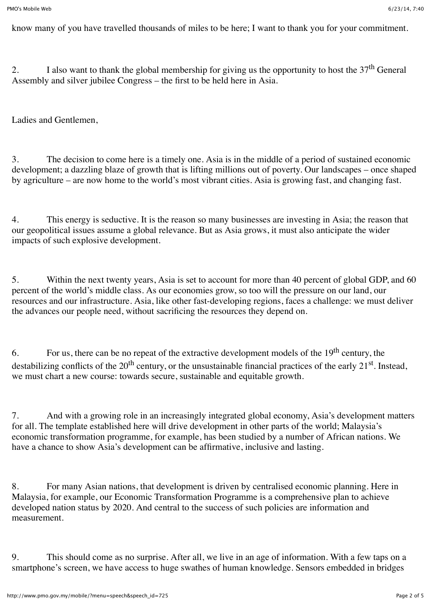know many of you have travelled thousands of miles to be here; I want to thank you for your commitment.

2. I also want to thank the global membership for giving us the opportunity to host the  $37<sup>th</sup>$  General Assembly and silver jubilee Congress – the first to be held here in Asia.

Ladies and Gentlemen,

3. The decision to come here is a timely one. Asia is in the middle of a period of sustained economic development; a dazzling blaze of growth that is lifting millions out of poverty. Our landscapes – once shaped by agriculture – are now home to the world's most vibrant cities. Asia is growing fast, and changing fast.

4. This energy is seductive. It is the reason so many businesses are investing in Asia; the reason that our geopolitical issues assume a global relevance. But as Asia grows, it must also anticipate the wider impacts of such explosive development.

5. Within the next twenty years, Asia is set to account for more than 40 percent of global GDP, and 60 percent of the world's middle class. As our economies grow, so too will the pressure on our land, our resources and our infrastructure. Asia, like other fast-developing regions, faces a challenge: we must deliver the advances our people need, without sacrificing the resources they depend on.

6. For us, there can be no repeat of the extractive development models of the 19<sup>th</sup> century, the destabilizing conflicts of the  $20<sup>th</sup>$  century, or the unsustainable financial practices of the early  $21<sup>st</sup>$ . Instead, we must chart a new course: towards secure, sustainable and equitable growth.

7. And with a growing role in an increasingly integrated global economy, Asia's development matters for all. The template established here will drive development in other parts of the world; Malaysia's economic transformation programme, for example, has been studied by a number of African nations. We have a chance to show Asia's development can be affirmative, inclusive and lasting.

8. For many Asian nations, that development is driven by centralised economic planning. Here in Malaysia, for example, our Economic Transformation Programme is a comprehensive plan to achieve developed nation status by 2020. And central to the success of such policies are information and measurement.

9. This should come as no surprise. After all, we live in an age of information. With a few taps on a smartphone's screen, we have access to huge swathes of human knowledge. Sensors embedded in bridges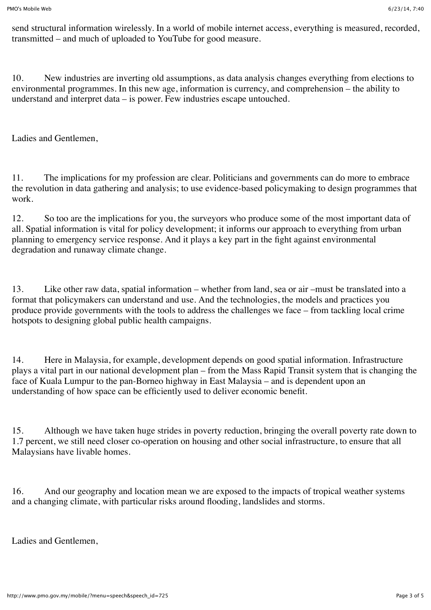send structural information wirelessly. In a world of mobile internet access, everything is measured, recorded, transmitted – and much of uploaded to YouTube for good measure.

10. New industries are inverting old assumptions, as data analysis changes everything from elections to environmental programmes. In this new age, information is currency, and comprehension – the ability to understand and interpret data – is power. Few industries escape untouched.

Ladies and Gentlemen,

11. The implications for my profession are clear. Politicians and governments can do more to embrace the revolution in data gathering and analysis; to use evidence-based policymaking to design programmes that work.

12. So too are the implications for you, the surveyors who produce some of the most important data of all. Spatial information is vital for policy development; it informs our approach to everything from urban planning to emergency service response. And it plays a key part in the fight against environmental degradation and runaway climate change.

13. Like other raw data, spatial information – whether from land, sea or air –must be translated into a format that policymakers can understand and use. And the technologies, the models and practices you produce provide governments with the tools to address the challenges we face – from tackling local crime hotspots to designing global public health campaigns.

14. Here in Malaysia, for example, development depends on good spatial information. Infrastructure plays a vital part in our national development plan – from the Mass Rapid Transit system that is changing the face of Kuala Lumpur to the pan-Borneo highway in East Malaysia – and is dependent upon an understanding of how space can be efficiently used to deliver economic benefit.

15. Although we have taken huge strides in poverty reduction, bringing the overall poverty rate down to 1.7 percent, we still need closer co-operation on housing and other social infrastructure, to ensure that all Malaysians have livable homes.

16. And our geography and location mean we are exposed to the impacts of tropical weather systems and a changing climate, with particular risks around flooding, landslides and storms.

Ladies and Gentlemen,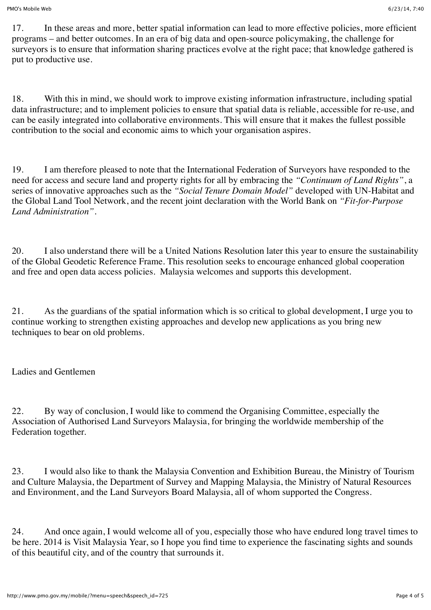17. In these areas and more, better spatial information can lead to more effective policies, more efficient programs – and better outcomes. In an era of big data and open-source policymaking, the challenge for surveyors is to ensure that information sharing practices evolve at the right pace; that knowledge gathered is put to productive use.

18. With this in mind, we should work to improve existing information infrastructure, including spatial data infrastructure; and to implement policies to ensure that spatial data is reliable, accessible for re-use, and can be easily integrated into collaborative environments. This will ensure that it makes the fullest possible contribution to the social and economic aims to which your organisation aspires.

19. I am therefore pleased to note that the International Federation of Surveyors have responded to the need for access and secure land and property rights for all by embracing the *"Continuum of Land Rights"*, a series of innovative approaches such as the *"Social Tenure Domain Model"* developed with UN-Habitat and the Global Land Tool Network, and the recent joint declaration with the World Bank on *"Fit-for-Purpose Land Administration".*

20. I also understand there will be a United Nations Resolution later this year to ensure the sustainability of the Global Geodetic Reference Frame. This resolution seeks to encourage enhanced global cooperation and free and open data access policies. Malaysia welcomes and supports this development.

21. As the guardians of the spatial information which is so critical to global development, I urge you to continue working to strengthen existing approaches and develop new applications as you bring new techniques to bear on old problems.

Ladies and Gentlemen

22. By way of conclusion, I would like to commend the Organising Committee, especially the Association of Authorised Land Surveyors Malaysia, for bringing the worldwide membership of the Federation together.

23. I would also like to thank the Malaysia Convention and Exhibition Bureau, the Ministry of Tourism and Culture Malaysia, the Department of Survey and Mapping Malaysia, the Ministry of Natural Resources and Environment, and the Land Surveyors Board Malaysia, all of whom supported the Congress.

24. And once again, I would welcome all of you, especially those who have endured long travel times to be here. 2014 is Visit Malaysia Year, so I hope you find time to experience the fascinating sights and sounds of this beautiful city, and of the country that surrounds it.